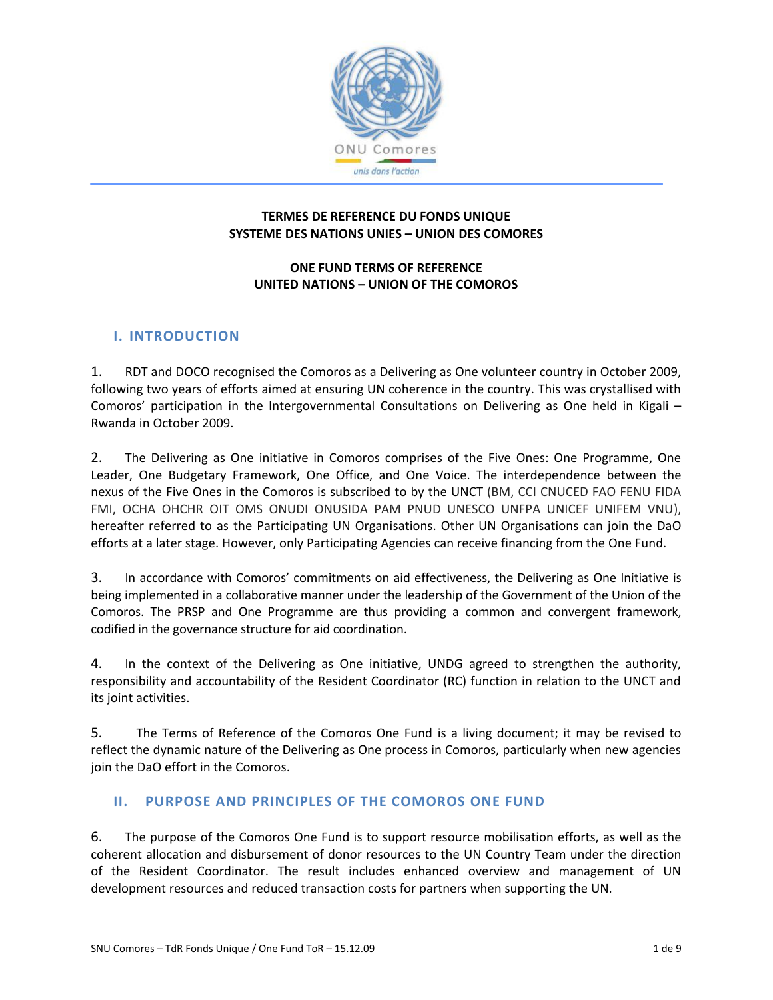

## **TERMES DE REFERENCE DU FONDS UNIQUE SYSTEME DES NATIONS UNIES – UNION DES COMORES**

## **ONE FUND TERMS OF REFERENCE UNITED NATIONS – UNION OF THE COMOROS**

# **I. INTRODUCTION**

1. RDT and DOCO recognised the Comoros as a Delivering as One volunteer country in October 2009, following two years of efforts aimed at ensuring UN coherence in the country. This was crystallised with Comoros' participation in the Intergovernmental Consultations on Delivering as One held in Kigali – Rwanda in October 2009.

2. The Delivering as One initiative in Comoros comprises of the Five Ones: One Programme, One Leader, One Budgetary Framework, One Office, and One Voice. The interdependence between the nexus of the Five Ones in the Comoros is subscribed to by the UNCT (BM, CCI CNUCED FAO FENU FIDA FMI, OCHA OHCHR OIT OMS ONUDI ONUSIDA PAM PNUD UNESCO UNFPA UNICEF UNIFEM VNU), hereafter referred to as the Participating UN Organisations. Other UN Organisations can join the DaO efforts at a later stage. However, only Participating Agencies can receive financing from the One Fund.

3. In accordance with Comoros' commitments on aid effectiveness, the Delivering as One Initiative is being implemented in a collaborative manner under the leadership of the Government of the Union of the Comoros. The PRSP and One Programme are thus providing a common and convergent framework, codified in the governance structure for aid coordination.

4. In the context of the Delivering as One initiative, UNDG agreed to strengthen the authority, responsibility and accountability of the Resident Coordinator (RC) function in relation to the UNCT and its joint activities.

5. The Terms of Reference of the Comoros One Fund is a living document; it may be revised to reflect the dynamic nature of the Delivering as One process in Comoros, particularly when new agencies join the DaO effort in the Comoros.

## **II. PURPOSE AND PRINCIPLES OF THE COMOROS ONE FUND**

6. The purpose of the Comoros One Fund is to support resource mobilisation efforts, as well as the coherent allocation and disbursement of donor resources to the UN Country Team under the direction of the Resident Coordinator. The result includes enhanced overview and management of UN development resources and reduced transaction costs for partners when supporting the UN.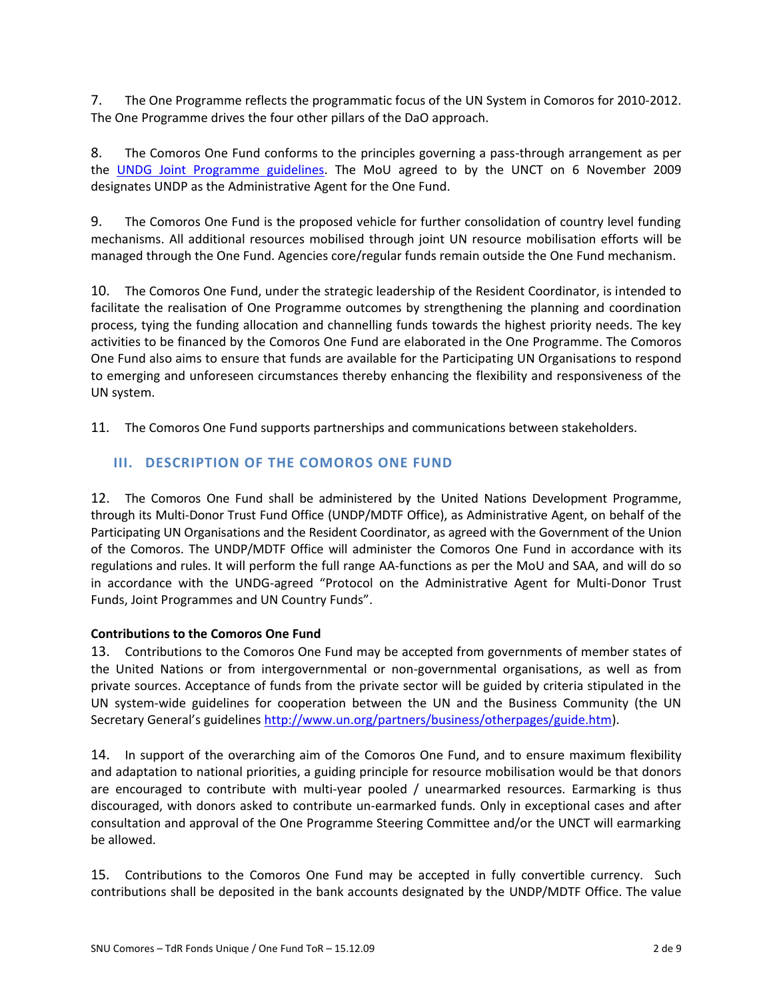7. The One Programme reflects the programmatic focus of the UN System in Comoros for 2010-2012. The One Programme drives the four other pillars of the DaO approach.

8. The Comoros One Fund conforms to the principles governing a pass-through arrangement as per the [UNDG Joint Programme guidelines.](http://www.undg.org/index.cfm?P=237) The MoU agreed to by the UNCT on 6 November 2009 designates UNDP as the Administrative Agent for the One Fund.

9. The Comoros One Fund is the proposed vehicle for further consolidation of country level funding mechanisms. All additional resources mobilised through joint UN resource mobilisation efforts will be managed through the One Fund. Agencies core/regular funds remain outside the One Fund mechanism.

10. The Comoros One Fund, under the strategic leadership of the Resident Coordinator, is intended to facilitate the realisation of One Programme outcomes by strengthening the planning and coordination process, tying the funding allocation and channelling funds towards the highest priority needs. The key activities to be financed by the Comoros One Fund are elaborated in the One Programme. The Comoros One Fund also aims to ensure that funds are available for the Participating UN Organisations to respond to emerging and unforeseen circumstances thereby enhancing the flexibility and responsiveness of the UN system.

11. The Comoros One Fund supports partnerships and communications between stakeholders.

# **III. DESCRIPTION OF THE COMOROS ONE FUND**

12. The Comoros One Fund shall be administered by the United Nations Development Programme, through its Multi-Donor Trust Fund Office (UNDP/MDTF Office), as Administrative Agent, on behalf of the Participating UN Organisations and the Resident Coordinator, as agreed with the Government of the Union of the Comoros. The UNDP/MDTF Office will administer the Comoros One Fund in accordance with its regulations and rules. It will perform the full range AA-functions as per the MoU and SAA, and will do so in accordance with the UNDG-agreed "Protocol on the Administrative Agent for Multi-Donor Trust Funds, Joint Programmes and UN Country Funds".

## **Contributions to the Comoros One Fund**

13. Contributions to the Comoros One Fund may be accepted from governments of member states of the United Nations or from intergovernmental or non-governmental organisations, as well as from private sources. Acceptance of funds from the private sector will be guided by criteria stipulated in the UN system-wide guidelines for cooperation between the UN and the Business Community (the UN Secretary General's guidelines [http://www.un.org/partners/business/otherpages/guide.htm\)](http://www.un.org/partners/business/otherpages/guide.htm).

14. In support of the overarching aim of the Comoros One Fund, and to ensure maximum flexibility and adaptation to national priorities, a guiding principle for resource mobilisation would be that donors are encouraged to contribute with multi-year pooled / unearmarked resources. Earmarking is thus discouraged, with donors asked to contribute un-earmarked funds*.* Only in exceptional cases and after consultation and approval of the One Programme Steering Committee and/or the UNCT will earmarking be allowed.

15. Contributions to the Comoros One Fund may be accepted in fully convertible currency. Such contributions shall be deposited in the bank accounts designated by the UNDP/MDTF Office. The value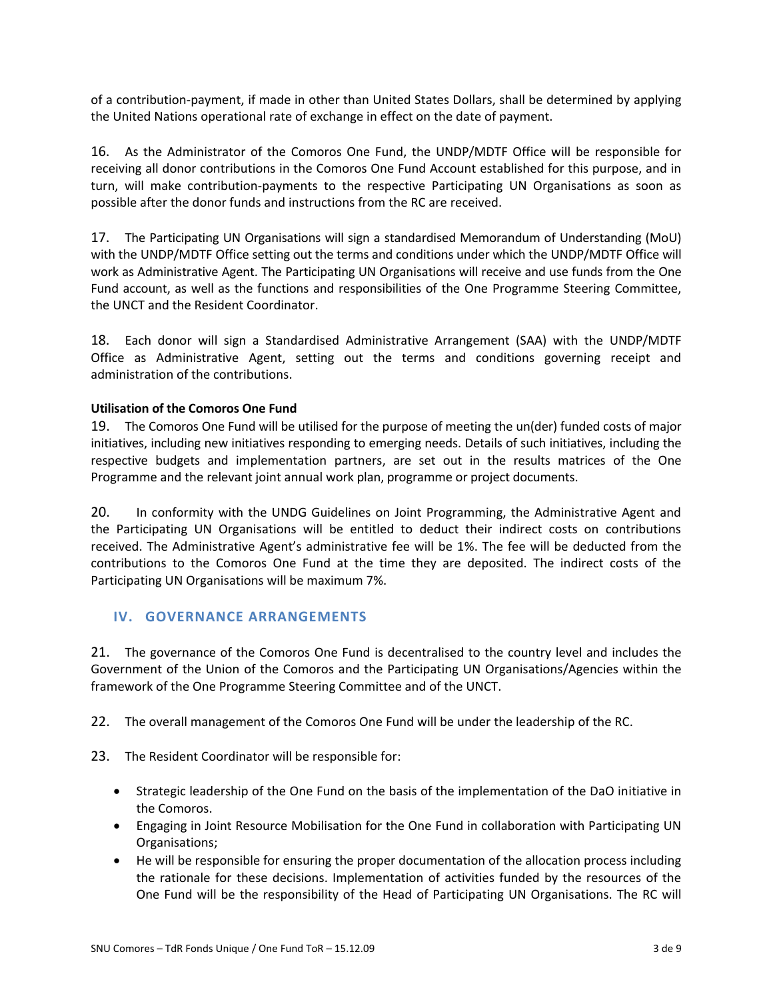of a contribution-payment, if made in other than United States Dollars, shall be determined by applying the United Nations operational rate of exchange in effect on the date of payment.

16. As the Administrator of the Comoros One Fund, the UNDP/MDTF Office will be responsible for receiving all donor contributions in the Comoros One Fund Account established for this purpose, and in turn, will make contribution-payments to the respective Participating UN Organisations as soon as possible after the donor funds and instructions from the RC are received.

17. The Participating UN Organisations will sign a standardised Memorandum of Understanding (MoU) with the UNDP/MDTF Office setting out the terms and conditions under which the UNDP/MDTF Office will work as Administrative Agent. The Participating UN Organisations will receive and use funds from the One Fund account, as well as the functions and responsibilities of the One Programme Steering Committee, the UNCT and the Resident Coordinator.

18. Each donor will sign a Standardised Administrative Arrangement (SAA) with the UNDP/MDTF Office as Administrative Agent, setting out the terms and conditions governing receipt and administration of the contributions.

## **Utilisation of the Comoros One Fund**

19. The Comoros One Fund will be utilised for the purpose of meeting the un(der) funded costs of major initiatives, including new initiatives responding to emerging needs. Details of such initiatives, including the respective budgets and implementation partners, are set out in the results matrices of the One Programme and the relevant joint annual work plan, programme or project documents.

20. In conformity with the UNDG Guidelines on Joint Programming, the Administrative Agent and the Participating UN Organisations will be entitled to deduct their indirect costs on contributions received. The Administrative Agent's administrative fee will be 1%. The fee will be deducted from the contributions to the Comoros One Fund at the time they are deposited. The indirect costs of the Participating UN Organisations will be maximum 7%.

## **IV. GOVERNANCE ARRANGEMENTS**

21. The governance of the Comoros One Fund is decentralised to the country level and includes the Government of the Union of the Comoros and the Participating UN Organisations/Agencies within the framework of the One Programme Steering Committee and of the UNCT.

22. The overall management of the Comoros One Fund will be under the leadership of the RC.

- 23. The Resident Coordinator will be responsible for:
	- Strategic leadership of the One Fund on the basis of the implementation of the DaO initiative in the Comoros.
	- Engaging in Joint Resource Mobilisation for the One Fund in collaboration with Participating UN Organisations;
	- He will be responsible for ensuring the proper documentation of the allocation process including the rationale for these decisions. Implementation of activities funded by the resources of the One Fund will be the responsibility of the Head of Participating UN Organisations. The RC will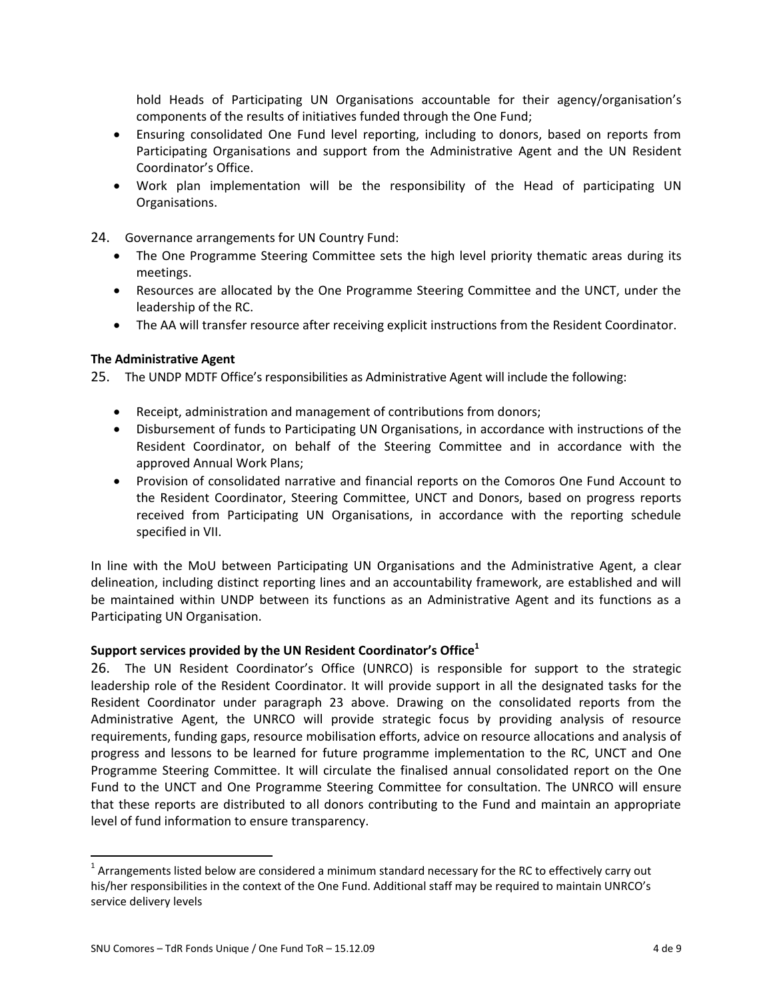hold Heads of Participating UN Organisations accountable for their agency/organisation's components of the results of initiatives funded through the One Fund;

- Ensuring consolidated One Fund level reporting, including to donors, based on reports from Participating Organisations and support from the Administrative Agent and the UN Resident Coordinator's Office.
- Work plan implementation will be the responsibility of the Head of participating UN Organisations.
- 24. Governance arrangements for UN Country Fund:
	- The One Programme Steering Committee sets the high level priority thematic areas during its meetings.
	- Resources are allocated by the One Programme Steering Committee and the UNCT, under the leadership of the RC.
	- The AA will transfer resource after receiving explicit instructions from the Resident Coordinator.

## **The Administrative Agent**

25. The UNDP MDTF Office's responsibilities as Administrative Agent will include the following:

- Receipt, administration and management of contributions from donors;
- Disbursement of funds to Participating UN Organisations, in accordance with instructions of the Resident Coordinator, on behalf of the Steering Committee and in accordance with the approved Annual Work Plans;
- Provision of consolidated narrative and financial reports on the Comoros One Fund Account to the Resident Coordinator, Steering Committee, UNCT and Donors, based on progress reports received from Participating UN Organisations, in accordance with the reporting schedule specified in VII.

In line with the MoU between Participating UN Organisations and the Administrative Agent, a clear delineation, including distinct reporting lines and an accountability framework, are established and will be maintained within UNDP between its functions as an Administrative Agent and its functions as a Participating UN Organisation.

## **Support services provided by the UN Resident Coordinator's Office<sup>1</sup>**

26. The UN Resident Coordinator's Office (UNRCO) is responsible for support to the strategic leadership role of the Resident Coordinator. It will provide support in all the designated tasks for the Resident Coordinator under paragraph 23 above. Drawing on the consolidated reports from the Administrative Agent, the UNRCO will provide strategic focus by providing analysis of resource requirements, funding gaps, resource mobilisation efforts, advice on resource allocations and analysis of progress and lessons to be learned for future programme implementation to the RC, UNCT and One Programme Steering Committee. It will circulate the finalised annual consolidated report on the One Fund to the UNCT and One Programme Steering Committee for consultation. The UNRCO will ensure that these reports are distributed to all donors contributing to the Fund and maintain an appropriate level of fund information to ensure transparency.

 $\overline{\phantom{a}}$ 

 $^1$  Arrangements listed below are considered a minimum standard necessary for the RC to effectively carry out his/her responsibilities in the context of the One Fund. Additional staff may be required to maintain UNRCO's service delivery levels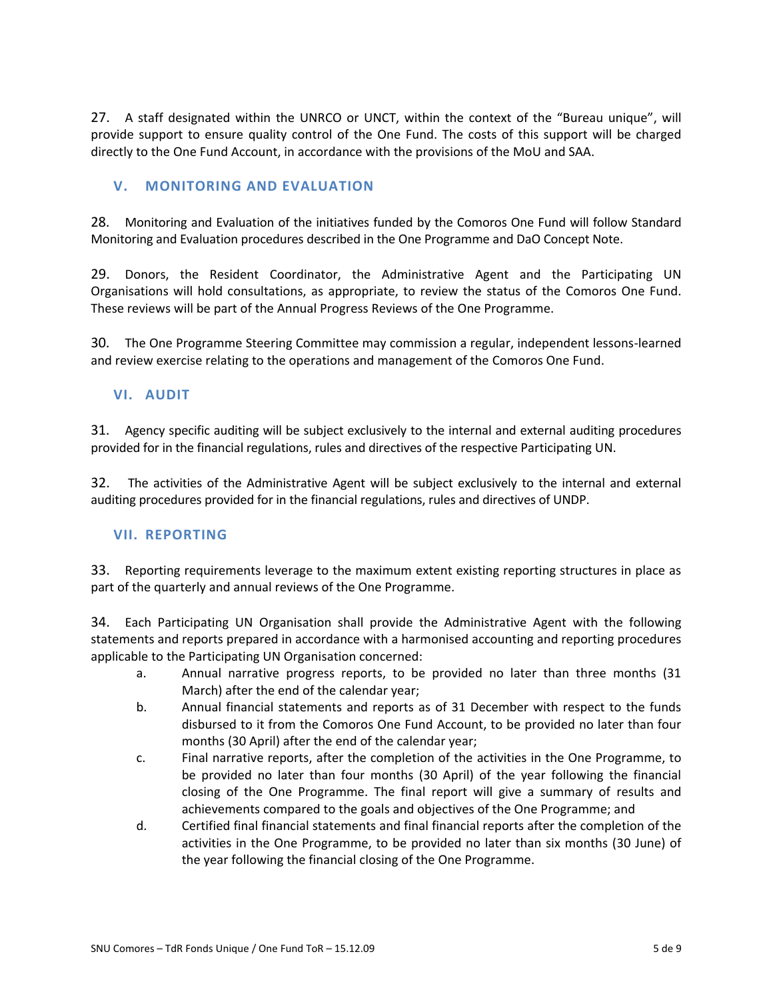27. A staff designated within the UNRCO or UNCT, within the context of the "Bureau unique", will provide support to ensure quality control of the One Fund. The costs of this support will be charged directly to the One Fund Account, in accordance with the provisions of the MoU and SAA.

## **V. MONITORING AND EVALUATION**

28. Monitoring and Evaluation of the initiatives funded by the Comoros One Fund will follow Standard Monitoring and Evaluation procedures described in the One Programme and DaO Concept Note.

29. Donors, the Resident Coordinator, the Administrative Agent and the Participating UN Organisations will hold consultations, as appropriate, to review the status of the Comoros One Fund. These reviews will be part of the Annual Progress Reviews of the One Programme.

30. The One Programme Steering Committee may commission a regular, independent lessons-learned and review exercise relating to the operations and management of the Comoros One Fund.

## **VI. AUDIT**

31. Agency specific auditing will be subject exclusively to the internal and external auditing procedures provided for in the financial regulations, rules and directives of the respective Participating UN.

32. The activities of the Administrative Agent will be subject exclusively to the internal and external auditing procedures provided for in the financial regulations, rules and directives of UNDP.

## **VII. REPORTING**

33. Reporting requirements leverage to the maximum extent existing reporting structures in place as part of the quarterly and annual reviews of the One Programme.

34. Each Participating UN Organisation shall provide the Administrative Agent with the following statements and reports prepared in accordance with a harmonised accounting and reporting procedures applicable to the Participating UN Organisation concerned:

- a. Annual narrative progress reports, to be provided no later than three months (31 March) after the end of the calendar year;
- b. Annual financial statements and reports as of 31 December with respect to the funds disbursed to it from the Comoros One Fund Account, to be provided no later than four months (30 April) after the end of the calendar year;
- c. Final narrative reports, after the completion of the activities in the One Programme, to be provided no later than four months (30 April) of the year following the financial closing of the One Programme. The final report will give a summary of results and achievements compared to the goals and objectives of the One Programme; and
- d. Certified final financial statements and final financial reports after the completion of the activities in the One Programme, to be provided no later than six months (30 June) of the year following the financial closing of the One Programme.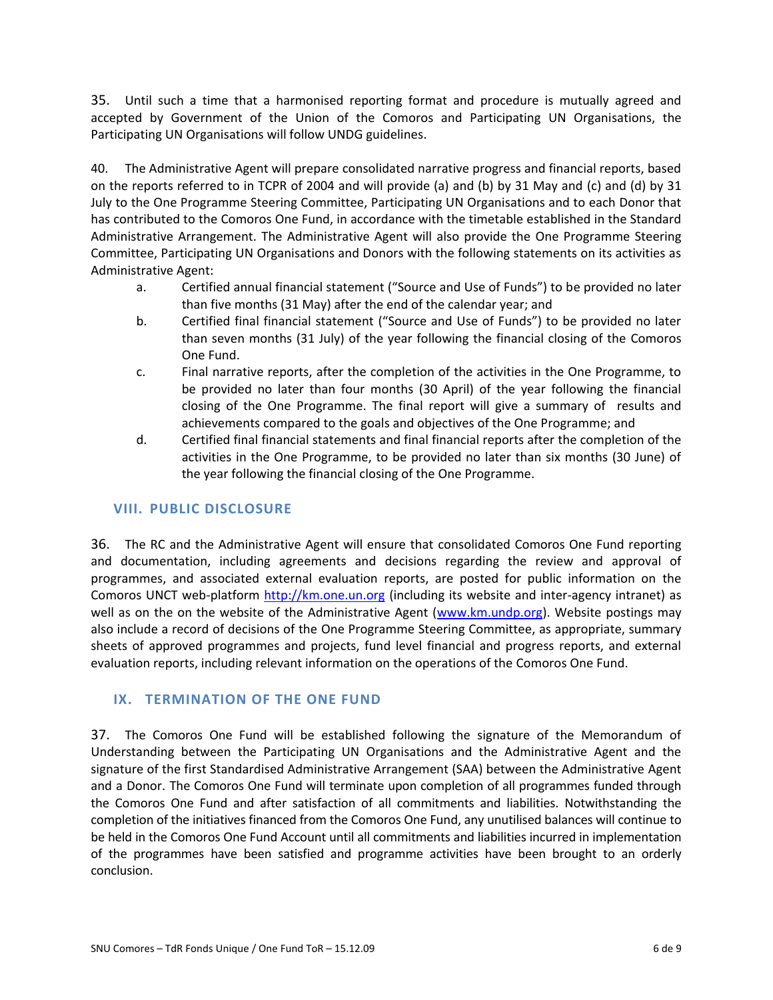35. Until such a time that a harmonised reporting format and procedure is mutually agreed and accepted by Government of the Union of the Comoros and Participating UN Organisations, the Participating UN Organisations will follow UNDG guidelines.

40. The Administrative Agent will prepare consolidated narrative progress and financial reports, based on the reports referred to in TCPR of 2004 and will provide (a) and (b) by 31 May and (c) and (d) by 31 July to the One Programme Steering Committee, Participating UN Organisations and to each Donor that has contributed to the Comoros One Fund, in accordance with the timetable established in the Standard Administrative Arrangement. The Administrative Agent will also provide the One Programme Steering Committee, Participating UN Organisations and Donors with the following statements on its activities as Administrative Agent:

- a. Certified annual financial statement ("Source and Use of Funds") to be provided no later than five months (31 May) after the end of the calendar year; and
- b. Certified final financial statement ("Source and Use of Funds") to be provided no later than seven months (31 July) of the year following the financial closing of the Comoros One Fund.
- c. Final narrative reports, after the completion of the activities in the One Programme, to be provided no later than four months (30 April) of the year following the financial closing of the One Programme. The final report will give a summary of results and achievements compared to the goals and objectives of the One Programme; and
- d. Certified final financial statements and final financial reports after the completion of the activities in the One Programme, to be provided no later than six months (30 June) of the year following the financial closing of the One Programme.

## **VIII. PUBLIC DISCLOSURE**

36. The RC and the Administrative Agent will ensure that consolidated Comoros One Fund reporting and documentation, including agreements and decisions regarding the review and approval of programmes, and associated external evaluation reports, are posted for public information on the Comoros UNCT web-platform [http://km.one.un.org](http://km.one.un.org/) (including its website and inter-agency intranet) as well as on the on the website of the Administrative Agent [\(www.km.undp.org\)](http://www.km.undp.org/). Website postings may also include a record of decisions of the One Programme Steering Committee, as appropriate, summary sheets of approved programmes and projects, fund level financial and progress reports, and external evaluation reports, including relevant information on the operations of the Comoros One Fund.

## **IX. TERMINATION OF THE ONE FUND**

37. The Comoros One Fund will be established following the signature of the Memorandum of Understanding between the Participating UN Organisations and the Administrative Agent and the signature of the first Standardised Administrative Arrangement (SAA) between the Administrative Agent and a Donor. The Comoros One Fund will terminate upon completion of all programmes funded through the Comoros One Fund and after satisfaction of all commitments and liabilities. Notwithstanding the completion of the initiatives financed from the Comoros One Fund, any unutilised balances will continue to be held in the Comoros One Fund Account until all commitments and liabilities incurred in implementation of the programmes have been satisfied and programme activities have been brought to an orderly conclusion.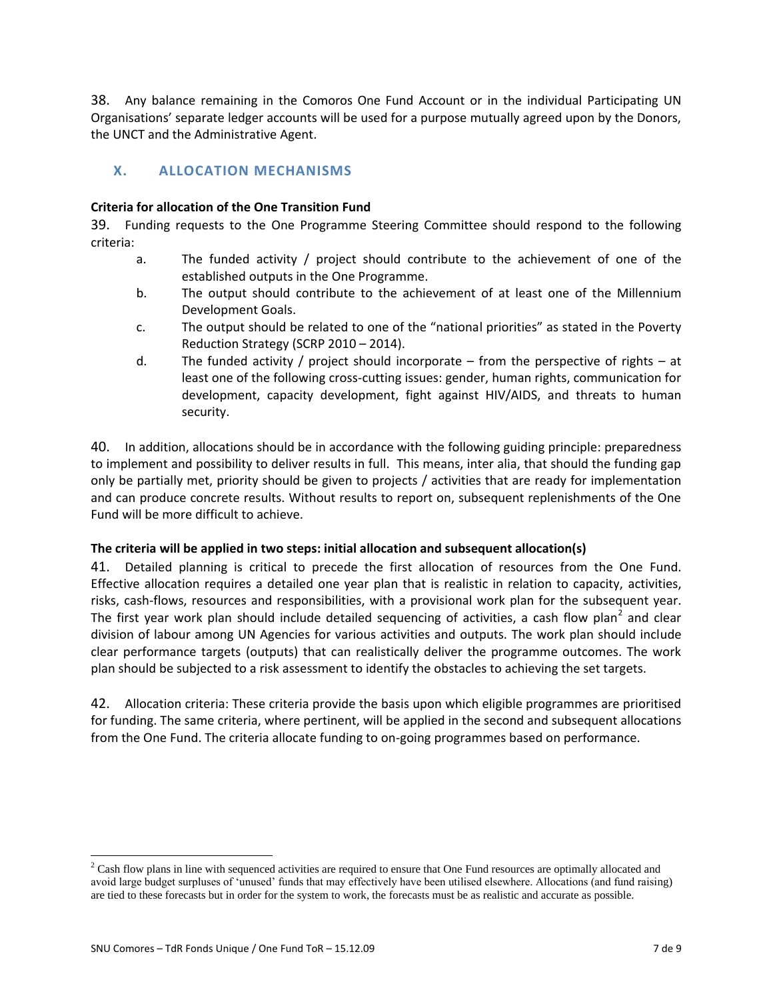38. Any balance remaining in the Comoros One Fund Account or in the individual Participating UN Organisations' separate ledger accounts will be used for a purpose mutually agreed upon by the Donors, the UNCT and the Administrative Agent.

# **X. ALLOCATION MECHANISMS**

#### **Criteria for allocation of the One Transition Fund**

39. Funding requests to the One Programme Steering Committee should respond to the following criteria:

- a. The funded activity / project should contribute to the achievement of one of the established outputs in the One Programme.
- b. The output should contribute to the achievement of at least one of the Millennium Development Goals.
- c. The output should be related to one of the "national priorities" as stated in the Poverty Reduction Strategy (SCRP 2010 – 2014).
- d. The funded activity / project should incorporate from the perspective of rights at least one of the following cross-cutting issues: gender, human rights, communication for development, capacity development, fight against HIV/AIDS, and threats to human security.

40. In addition, allocations should be in accordance with the following guiding principle: preparedness to implement and possibility to deliver results in full. This means, inter alia, that should the funding gap only be partially met, priority should be given to projects / activities that are ready for implementation and can produce concrete results. Without results to report on, subsequent replenishments of the One Fund will be more difficult to achieve.

## **The criteria will be applied in two steps: initial allocation and subsequent allocation(s)**

41. Detailed planning is critical to precede the first allocation of resources from the One Fund. Effective allocation requires a detailed one year plan that is realistic in relation to capacity, activities, risks, cash-flows, resources and responsibilities, with a provisional work plan for the subsequent year. The first year work plan should include detailed sequencing of activities, a cash flow plan<sup>2</sup> and clear division of labour among UN Agencies for various activities and outputs. The work plan should include clear performance targets (outputs) that can realistically deliver the programme outcomes. The work plan should be subjected to a risk assessment to identify the obstacles to achieving the set targets.

42. Allocation criteria: These criteria provide the basis upon which eligible programmes are prioritised for funding. The same criteria, where pertinent, will be applied in the second and subsequent allocations from the One Fund. The criteria allocate funding to on-going programmes based on performance.

 $\overline{\phantom{a}}$ 

 $2$  Cash flow plans in line with sequenced activities are required to ensure that One Fund resources are optimally allocated and avoid large budget surpluses of 'unused' funds that may effectively have been utilised elsewhere. Allocations (and fund raising) are tied to these forecasts but in order for the system to work, the forecasts must be as realistic and accurate as possible.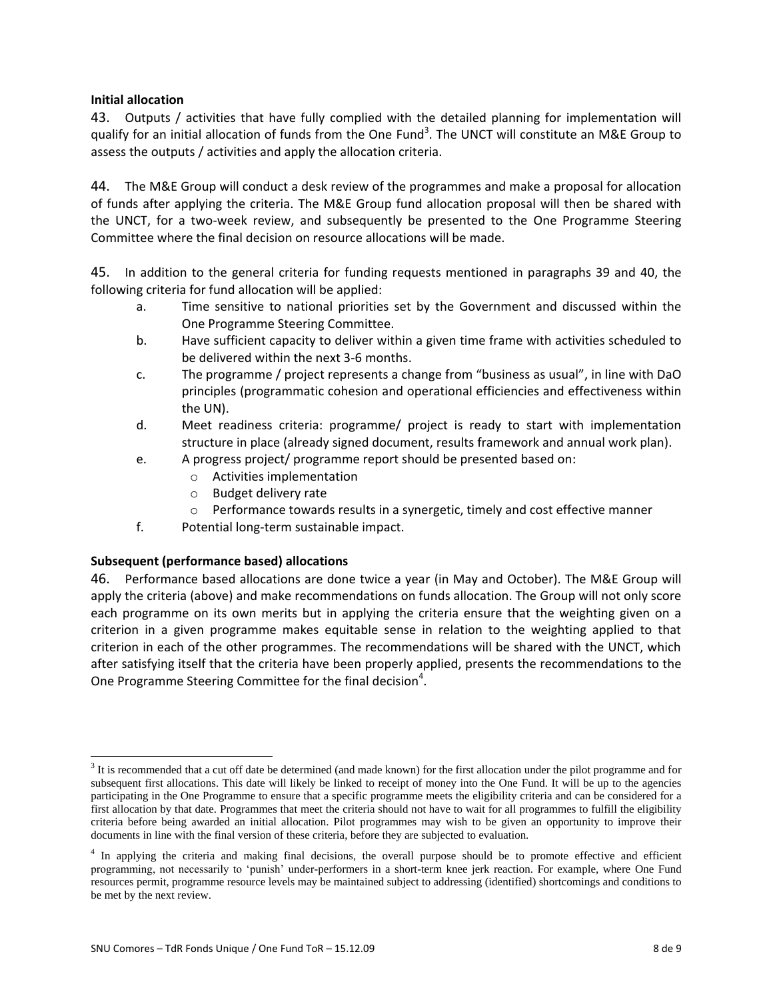## **Initial allocation**

43. Outputs / activities that have fully complied with the detailed planning for implementation will qualify for an initial allocation of funds from the One Fund<sup>3</sup>. The UNCT will constitute an M&E Group to assess the outputs / activities and apply the allocation criteria.

44. The M&E Group will conduct a desk review of the programmes and make a proposal for allocation of funds after applying the criteria. The M&E Group fund allocation proposal will then be shared with the UNCT, for a two-week review, and subsequently be presented to the One Programme Steering Committee where the final decision on resource allocations will be made.

45. In addition to the general criteria for funding requests mentioned in paragraphs 39 and 40, the following criteria for fund allocation will be applied:

- a. Time sensitive to national priorities set by the Government and discussed within the One Programme Steering Committee.
- b. Have sufficient capacity to deliver within a given time frame with activities scheduled to be delivered within the next 3-6 months.
- c. The programme / project represents a change from "business as usual", in line with DaO principles (programmatic cohesion and operational efficiencies and effectiveness within the UN).
- d. Meet readiness criteria: programme/ project is ready to start with implementation structure in place (already signed document, results framework and annual work plan).
- e. A progress project/ programme report should be presented based on:
	- o Activities implementation
	- o Budget delivery rate
	- $\circ$  Performance towards results in a synergetic, timely and cost effective manner
- f. Potential long-term sustainable impact.

## **Subsequent (performance based) allocations**

 $\overline{\phantom{a}}$ 

46. Performance based allocations are done twice a year (in May and October). The M&E Group will apply the criteria (above) and make recommendations on funds allocation. The Group will not only score each programme on its own merits but in applying the criteria ensure that the weighting given on a criterion in a given programme makes equitable sense in relation to the weighting applied to that criterion in each of the other programmes. The recommendations will be shared with the UNCT, which after satisfying itself that the criteria have been properly applied, presents the recommendations to the One Programme Steering Committee for the final decision<sup>4</sup>.

 $3$  It is recommended that a cut off date be determined (and made known) for the first allocation under the pilot programme and for subsequent first allocations. This date will likely be linked to receipt of money into the One Fund. It will be up to the agencies participating in the One Programme to ensure that a specific programme meets the eligibility criteria and can be considered for a first allocation by that date. Programmes that meet the criteria should not have to wait for all programmes to fulfill the eligibility criteria before being awarded an initial allocation. Pilot programmes may wish to be given an opportunity to improve their documents in line with the final version of these criteria, before they are subjected to evaluation.

<sup>&</sup>lt;sup>4</sup> In applying the criteria and making final decisions, the overall purpose should be to promote effective and efficient programming, not necessarily to 'punish' under-performers in a short-term knee jerk reaction. For example, where One Fund resources permit, programme resource levels may be maintained subject to addressing (identified) shortcomings and conditions to be met by the next review.